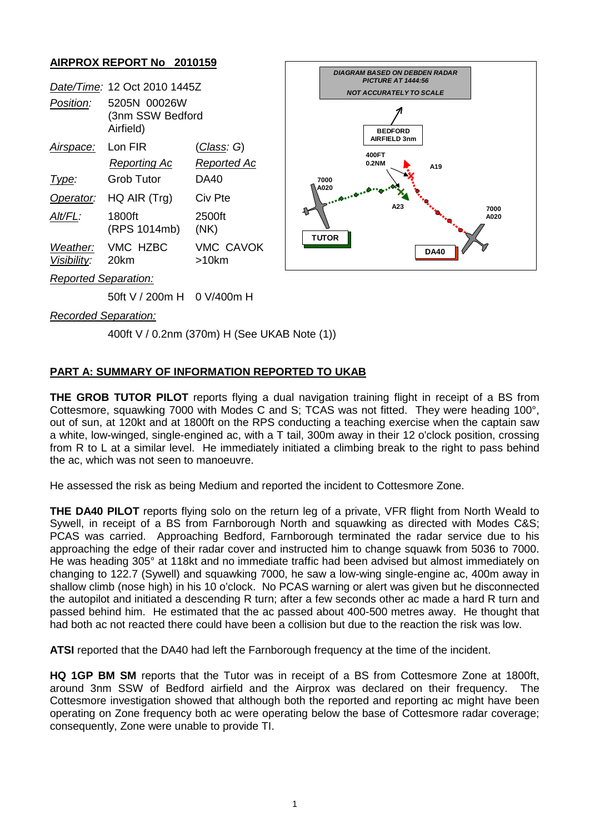## **AIRPROX REPORT No 2010159**

|                         | Date/Time: 12 Oct 2010 1445Z                  |                              |
|-------------------------|-----------------------------------------------|------------------------------|
| Position:               | 5205N 00026W<br>(3nm SSW Bedford<br>Airfield) |                              |
| Airspace:               | Lon FIR                                       | (Class: G)                   |
|                         | <b>Reporting Ac</b>                           | Reported Ac                  |
| Type:                   | Grob Tutor                                    | DA40                         |
| Operator:               | HQ AIR (Trg)                                  | Civ Pte                      |
| Alt/FL:                 | 1800ft<br>(RPS 1014mb)                        | 2500ft<br>(NK)               |
| Weather:<br>Visibility: | VMC HZBC<br>20km                              | <b>VMC CAVOK</b><br>$>10$ km |
| .                       |                                               |                              |



*Reported Separation:*

50ft V / 200m H 0 V/400m H

*Recorded Separation:*

400ft V / 0.2nm (370m) H (See UKAB Note (1))

## **PART A: SUMMARY OF INFORMATION REPORTED TO UKAB**

**THE GROB TUTOR PILOT** reports flying a dual navigation training flight in receipt of a BS from Cottesmore, squawking 7000 with Modes C and S; TCAS was not fitted. They were heading 100°, out of sun, at 120kt and at 1800ft on the RPS conducting a teaching exercise when the captain saw a white, low-winged, single-engined ac, with a T tail, 300m away in their 12 o'clock position, crossing from R to L at a similar level. He immediately initiated a climbing break to the right to pass behind the ac, which was not seen to manoeuvre.

He assessed the risk as being Medium and reported the incident to Cottesmore Zone.

**THE DA40 PILOT** reports flying solo on the return leg of a private, VFR flight from North Weald to Sywell, in receipt of a BS from Farnborough North and squawking as directed with Modes C&S; PCAS was carried. Approaching Bedford, Farnborough terminated the radar service due to his approaching the edge of their radar cover and instructed him to change squawk from 5036 to 7000. He was heading 305° at 118kt and no immediate traffic had been advised but almost immediately on changing to 122.7 (Sywell) and squawking 7000, he saw a low-wing single-engine ac, 400m away in shallow climb (nose high) in his 10 o'clock. No PCAS warning or alert was given but he disconnected the autopilot and initiated a descending R turn; after a few seconds other ac made a hard R turn and passed behind him. He estimated that the ac passed about 400-500 metres away. He thought that had both ac not reacted there could have been a collision but due to the reaction the risk was low.

**ATSI** reported that the DA40 had left the Farnborough frequency at the time of the incident.

**HQ 1GP BM SM** reports that the Tutor was in receipt of a BS from Cottesmore Zone at 1800ft, around 3nm SSW of Bedford airfield and the Airprox was declared on their frequency. The Cottesmore investigation showed that although both the reported and reporting ac might have been operating on Zone frequency both ac were operating below the base of Cottesmore radar coverage; consequently, Zone were unable to provide TI.